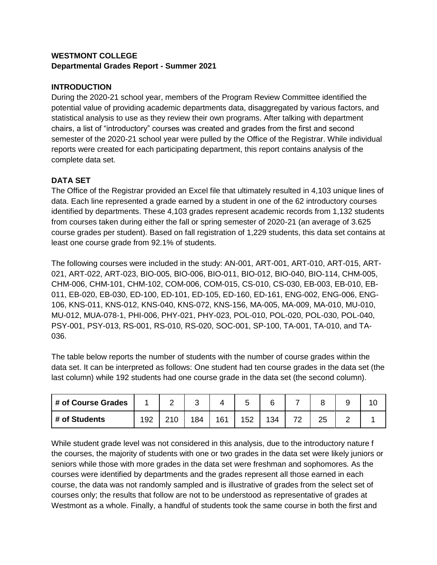# **WESTMONT COLLEGE Departmental Grades Report - Summer 2021**

### **INTRODUCTION**

During the 2020-21 school year, members of the Program Review Committee identified the potential value of providing academic departments data, disaggregated by various factors, and statistical analysis to use as they review their own programs. After talking with department chairs, a list of "introductory" courses was created and grades from the first and second semester of the 2020-21 school year were pulled by the Office of the Registrar. While individual reports were created for each participating department, this report contains analysis of the complete data set.

# **DATA SET**

The Office of the Registrar provided an Excel file that ultimately resulted in 4,103 unique lines of data. Each line represented a grade earned by a student in one of the 62 introductory courses identified by departments. These 4,103 grades represent academic records from 1,132 students from courses taken during either the fall or spring semester of 2020-21 (an average of 3.625 course grades per student). Based on fall registration of 1,229 students, this data set contains at least one course grade from 92.1% of students.

The following courses were included in the study: AN-001, ART-001, ART-010, ART-015, ART-021, ART-022, ART-023, BIO-005, BIO-006, BIO-011, BIO-012, BIO-040, BIO-114, CHM-005, CHM-006, CHM-101, CHM-102, COM-006, COM-015, CS-010, CS-030, EB-003, EB-010, EB-011, EB-020, EB-030, ED-100, ED-101, ED-105, ED-160, ED-161, ENG-002, ENG-006, ENG-106, KNS-011, KNS-012, KNS-040, KNS-072, KNS-156, MA-005, MA-009, MA-010, MU-010, MU-012, MUA-078-1, PHI-006, PHY-021, PHY-023, POL-010, POL-020, POL-030, POL-040, PSY-001, PSY-013, RS-001, RS-010, RS-020, SOC-001, SP-100, TA-001, TA-010, and TA-036.

The table below reports the number of students with the number of course grades within the data set. It can be interpreted as follows: One student had ten course grades in the data set (the last column) while 192 students had one course grade in the data set (the second column).

| # of Course Grades |     | ∼  |     |     | ⌒   |   |          | У |  |
|--------------------|-----|----|-----|-----|-----|---|----------|---|--|
| # of Students      | 192 | 84 | 161 | 152 | 134 | ⇁ | つに<br>دے | - |  |

While student grade level was not considered in this analysis, due to the introductory nature f the courses, the majority of students with one or two grades in the data set were likely juniors or seniors while those with more grades in the data set were freshman and sophomores. As the courses were identified by departments and the grades represent all those earned in each course, the data was not randomly sampled and is illustrative of grades from the select set of courses only; the results that follow are not to be understood as representative of grades at Westmont as a whole. Finally, a handful of students took the same course in both the first and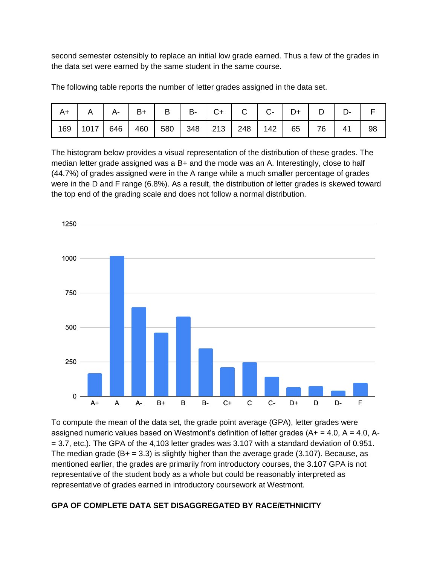second semester ostensibly to replace an initial low grade earned. Thus a few of the grades in the data set were earned by the same student in the same course.

| $A+$ $A$ $A$ $B$ $B$ $B$ $B$ $C$ $C$ $C$ $C$ $D$ $D$ $D$            |  |  |  |  |  |    |
|---------------------------------------------------------------------|--|--|--|--|--|----|
| 169   1017   646   460   580   348   213   248   142   65   76   41 |  |  |  |  |  | 98 |

The following table reports the number of letter grades assigned in the data set.

The histogram below provides a visual representation of the distribution of these grades. The median letter grade assigned was a B+ and the mode was an A. Interestingly, close to half (44.7%) of grades assigned were in the A range while a much smaller percentage of grades were in the D and F range (6.8%). As a result, the distribution of letter grades is skewed toward the top end of the grading scale and does not follow a normal distribution.



To compute the mean of the data set, the grade point average (GPA), letter grades were assigned numeric values based on Westmont's definition of letter grades  $(A + = 4.0, A = 4.0, A = 4.0, A = 4.0, A = 4.0, A = 4.0, A = 4.0, A = 4.0, A = 4.0, A = 4.0, A = 4.0, A = 4.0, A = 4.0, A = 4.0, A = 4.0, A = 4.0, A = 4.0, A = 4.0, A = 4.0, A = 4.0, A = 4.0,$ = 3.7, etc.). The GPA of the 4,103 letter grades was 3.107 with a standard deviation of 0.951. The median grade  $(B + = 3.3)$  is slightly higher than the average grade (3.107). Because, as mentioned earlier, the grades are primarily from introductory courses, the 3.107 GPA is not representative of the student body as a whole but could be reasonably interpreted as representative of grades earned in introductory coursework at Westmont.

#### **GPA OF COMPLETE DATA SET DISAGGREGATED BY RACE/ETHNICITY**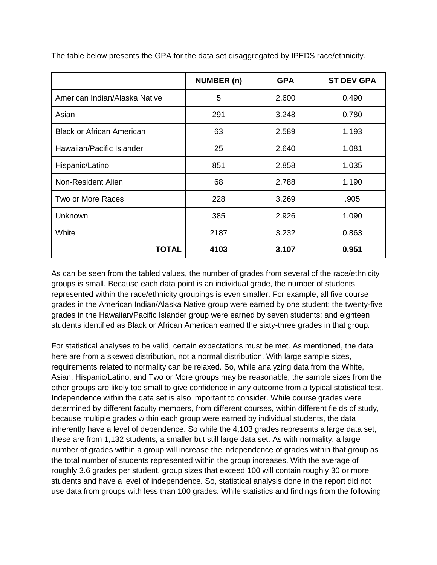|                                  | <b>NUMBER (n)</b> | <b>GPA</b> | <b>ST DEV GPA</b> |
|----------------------------------|-------------------|------------|-------------------|
| American Indian/Alaska Native    | 5                 | 2.600      | 0.490             |
| Asian                            | 291               | 3.248      | 0.780             |
| <b>Black or African American</b> | 63                | 2.589      | 1.193             |
| Hawaiian/Pacific Islander        | 25                | 2.640      | 1.081             |
| Hispanic/Latino                  | 851               | 2.858      | 1.035             |
| Non-Resident Alien               | 68                | 2.788      | 1.190             |
| Two or More Races                | 228               | 3.269      | .905              |
| Unknown                          | 385               | 2.926      | 1.090             |
| White                            | 2187              | 3.232      | 0.863             |
| <b>TOTAL</b>                     | 4103              | 3.107      | 0.951             |

The table below presents the GPA for the data set disaggregated by IPEDS race/ethnicity.

As can be seen from the tabled values, the number of grades from several of the race/ethnicity groups is small. Because each data point is an individual grade, the number of students represented within the race/ethnicity groupings is even smaller. For example, all five course grades in the American Indian/Alaska Native group were earned by one student; the twenty-five grades in the Hawaiian/Pacific Islander group were earned by seven students; and eighteen students identified as Black or African American earned the sixty-three grades in that group.

For statistical analyses to be valid, certain expectations must be met. As mentioned, the data here are from a skewed distribution, not a normal distribution. With large sample sizes, requirements related to normality can be relaxed. So, while analyzing data from the White, Asian, Hispanic/Latino, and Two or More groups may be reasonable, the sample sizes from the other groups are likely too small to give confidence in any outcome from a typical statistical test. Independence within the data set is also important to consider. While course grades were determined by different faculty members, from different courses, within different fields of study, because multiple grades within each group were earned by individual students, the data inherently have a level of dependence. So while the 4,103 grades represents a large data set, these are from 1,132 students, a smaller but still large data set. As with normality, a large number of grades within a group will increase the independence of grades within that group as the total number of students represented within the group increases. With the average of roughly 3.6 grades per student, group sizes that exceed 100 will contain roughly 30 or more students and have a level of independence. So, statistical analysis done in the report did not use data from groups with less than 100 grades. While statistics and findings from the following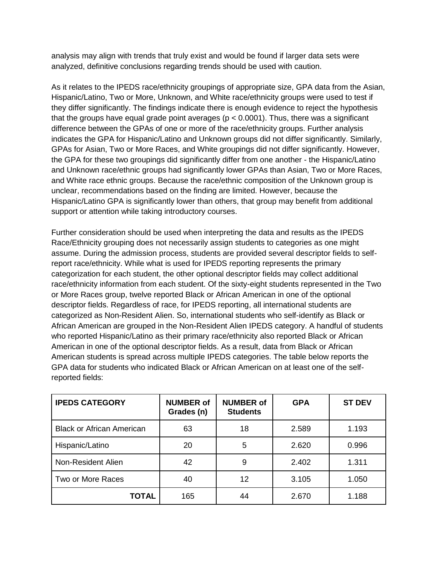analysis may align with trends that truly exist and would be found if larger data sets were analyzed, definitive conclusions regarding trends should be used with caution.

As it relates to the IPEDS race/ethnicity groupings of appropriate size, GPA data from the Asian, Hispanic/Latino, Two or More, Unknown, and White race/ethnicity groups were used to test if they differ significantly. The findings indicate there is enough evidence to reject the hypothesis that the groups have equal grade point averages ( $p < 0.0001$ ). Thus, there was a significant difference between the GPAs of one or more of the race/ethnicity groups. Further analysis indicates the GPA for Hispanic/Latino and Unknown groups did not differ significantly. Similarly, GPAs for Asian, Two or More Races, and White groupings did not differ significantly. However, the GPA for these two groupings did significantly differ from one another - the Hispanic/Latino and Unknown race/ethnic groups had significantly lower GPAs than Asian, Two or More Races, and White race ethnic groups. Because the race/ethnic composition of the Unknown group is unclear, recommendations based on the finding are limited. However, because the Hispanic/Latino GPA is significantly lower than others, that group may benefit from additional support or attention while taking introductory courses.

Further consideration should be used when interpreting the data and results as the IPEDS Race/Ethnicity grouping does not necessarily assign students to categories as one might assume. During the admission process, students are provided several descriptor fields to selfreport race/ethnicity. While what is used for IPEDS reporting represents the primary categorization for each student, the other optional descriptor fields may collect additional race/ethnicity information from each student. Of the sixty-eight students represented in the Two or More Races group, twelve reported Black or African American in one of the optional descriptor fields. Regardless of race, for IPEDS reporting, all international students are categorized as Non-Resident Alien. So, international students who self-identify as Black or African American are grouped in the Non-Resident Alien IPEDS category. A handful of students who reported Hispanic/Latino as their primary race/ethnicity also reported Black or African American in one of the optional descriptor fields. As a result, data from Black or African American students is spread across multiple IPEDS categories. The table below reports the GPA data for students who indicated Black or African American on at least one of the selfreported fields:

| <b>IPEDS CATEGORY</b>            | <b>NUMBER of</b><br>Grades (n) | <b>NUMBER of</b><br><b>Students</b> | <b>GPA</b> | <b>ST DEV</b> |
|----------------------------------|--------------------------------|-------------------------------------|------------|---------------|
| <b>Black or African American</b> | 63                             | 18                                  | 2.589      | 1.193         |
| Hispanic/Latino                  | 20                             | 5                                   | 2.620      | 0.996         |
| Non-Resident Alien               | 42                             | 9                                   | 2.402      | 1.311         |
| Two or More Races                | 40                             | 12                                  | 3.105      | 1.050         |
| <b>TOTAL</b>                     | 165                            | 44                                  | 2.670      | 1.188         |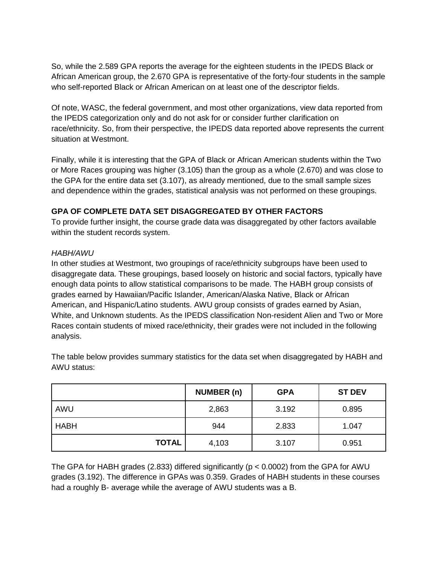So, while the 2.589 GPA reports the average for the eighteen students in the IPEDS Black or African American group, the 2.670 GPA is representative of the forty-four students in the sample who self-reported Black or African American on at least one of the descriptor fields.

Of note, WASC, the federal government, and most other organizations, view data reported from the IPEDS categorization only and do not ask for or consider further clarification on race/ethnicity. So, from their perspective, the IPEDS data reported above represents the current situation at Westmont.

Finally, while it is interesting that the GPA of Black or African American students within the Two or More Races grouping was higher (3.105) than the group as a whole (2.670) and was close to the GPA for the entire data set (3.107), as already mentioned, due to the small sample sizes and dependence within the grades, statistical analysis was not performed on these groupings.

# **GPA OF COMPLETE DATA SET DISAGGREGATED BY OTHER FACTORS**

To provide further insight, the course grade data was disaggregated by other factors available within the student records system.

#### *HABH/AWU*

In other studies at Westmont, two groupings of race/ethnicity subgroups have been used to disaggregate data. These groupings, based loosely on historic and social factors, typically have enough data points to allow statistical comparisons to be made. The HABH group consists of grades earned by Hawaiian/Pacific Islander, American/Alaska Native, Black or African American, and Hispanic/Latino students. AWU group consists of grades earned by Asian, White, and Unknown students. As the IPEDS classification Non-resident Alien and Two or More Races contain students of mixed race/ethnicity, their grades were not included in the following analysis.

|              | <b>NUMBER (n)</b> | <b>GPA</b> | <b>ST DEV</b> |
|--------------|-------------------|------------|---------------|
| AWU          | 2,863             | 3.192      | 0.895         |
| <b>HABH</b>  | 944               | 2.833      | 1.047         |
| <b>TOTAL</b> | 4,103             | 3.107      | 0.951         |

The table below provides summary statistics for the data set when disaggregated by HABH and AWU status:

The GPA for HABH grades (2.833) differed significantly ( $p < 0.0002$ ) from the GPA for AWU grades (3.192). The difference in GPAs was 0.359. Grades of HABH students in these courses had a roughly B- average while the average of AWU students was a B.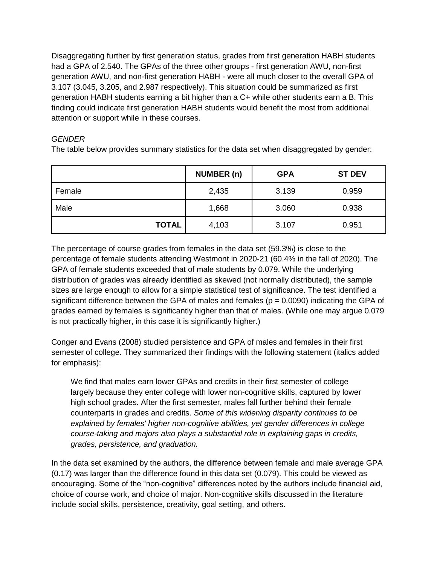Disaggregating further by first generation status, grades from first generation HABH students had a GPA of 2.540. The GPAs of the three other groups - first generation AWU, non-first generation AWU, and non-first generation HABH - were all much closer to the overall GPA of 3.107 (3.045, 3.205, and 2.987 respectively). This situation could be summarized as first generation HABH students earning a bit higher than a C+ while other students earn a B. This finding could indicate first generation HABH students would benefit the most from additional attention or support while in these courses.

#### *GENDER*

The table below provides summary statistics for the data set when disaggregated by gender:

|              | <b>NUMBER (n)</b> | <b>GPA</b> | <b>ST DEV</b> |
|--------------|-------------------|------------|---------------|
| Female       | 2,435             | 3.139      | 0.959         |
| Male         | 1,668             | 3.060      | 0.938         |
| <b>TOTAL</b> | 4,103             | 3.107      | 0.951         |

The percentage of course grades from females in the data set (59.3%) is close to the percentage of female students attending Westmont in 2020-21 (60.4% in the fall of 2020). The GPA of female students exceeded that of male students by 0.079. While the underlying distribution of grades was already identified as skewed (not normally distributed), the sample sizes are large enough to allow for a simple statistical test of significance. The test identified a significant difference between the GPA of males and females ( $p = 0.0090$ ) indicating the GPA of grades earned by females is significantly higher than that of males. (While one may argue 0.079 is not practically higher, in this case it is significantly higher.)

Conger and Evans (2008) studied persistence and GPA of males and females in their first semester of college. They summarized their findings with the following statement (italics added for emphasis):

We find that males earn lower GPAs and credits in their first semester of college largely because they enter college with lower non-cognitive skills, captured by lower high school grades. After the first semester, males fall further behind their female counterparts in grades and credits. *Some of this widening disparity continues to be explained by females' higher non-cognitive abilities, yet gender differences in college course-taking and majors also plays a substantial role in explaining gaps in credits, grades, persistence, and graduation.*

In the data set examined by the authors, the difference between female and male average GPA (0.17) was larger than the difference found in this data set (0.079). This could be viewed as encouraging. Some of the "non-cognitive" differences noted by the authors include financial aid, choice of course work, and choice of major. Non-cognitive skills discussed in the literature include social skills, persistence, creativity, goal setting, and others.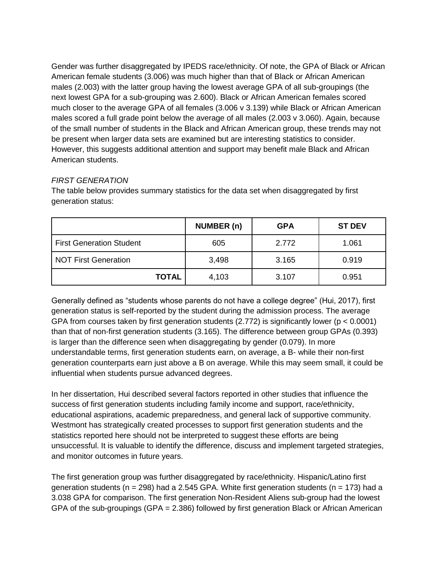Gender was further disaggregated by IPEDS race/ethnicity. Of note, the GPA of Black or African American female students (3.006) was much higher than that of Black or African American males (2.003) with the latter group having the lowest average GPA of all sub-groupings (the next lowest GPA for a sub-grouping was 2.600). Black or African American females scored much closer to the average GPA of all females (3.006 v 3.139) while Black or African American males scored a full grade point below the average of all males (2.003 v 3.060). Again, because of the small number of students in the Black and African American group, these trends may not be present when larger data sets are examined but are interesting statistics to consider. However, this suggests additional attention and support may benefit male Black and African American students.

#### *FIRST GENERATION*

The table below provides summary statistics for the data set when disaggregated by first generation status:

|                                 | NUMBER (n) | <b>GPA</b> | <b>ST DEV</b> |
|---------------------------------|------------|------------|---------------|
| <b>First Generation Student</b> | 605        | 2.772      | 1.061         |
| <b>NOT First Generation</b>     | 3,498      | 3.165      | 0.919         |
| <b>TOTAL</b>                    | 4,103      | 3.107      | 0.951         |

Generally defined as "students whose parents do not have a college degree" (Hui, 2017), first generation status is self-reported by the student during the admission process. The average GPA from courses taken by first generation students (2.772) is significantly lower ( $p < 0.0001$ ) than that of non-first generation students (3.165). The difference between group GPAs (0.393) is larger than the difference seen when disaggregating by gender (0.079). In more understandable terms, first generation students earn, on average, a B- while their non-first generation counterparts earn just above a B on average. While this may seem small, it could be influential when students pursue advanced degrees.

In her dissertation, Hui described several factors reported in other studies that influence the success of first generation students including family income and support, race/ethnicity, educational aspirations, academic preparedness, and general lack of supportive community. Westmont has strategically created processes to support first generation students and the statistics reported here should not be interpreted to suggest these efforts are being unsuccessful. It is valuable to identify the difference, discuss and implement targeted strategies, and monitor outcomes in future years.

The first generation group was further disaggregated by race/ethnicity. Hispanic/Latino first generation students ( $n = 298$ ) had a 2.545 GPA. White first generation students ( $n = 173$ ) had a 3.038 GPA for comparison. The first generation Non-Resident Aliens sub-group had the lowest GPA of the sub-groupings (GPA = 2.386) followed by first generation Black or African American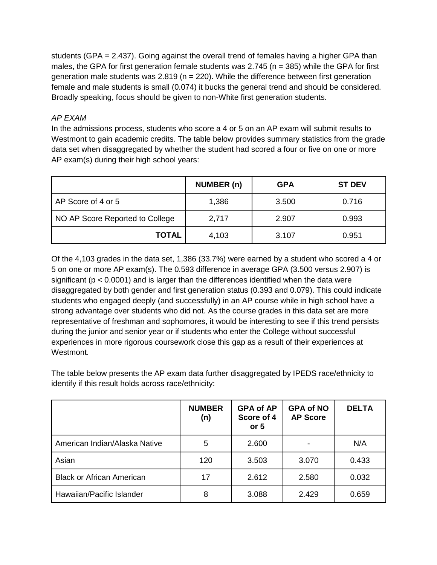students (GPA = 2.437). Going against the overall trend of females having a higher GPA than males, the GPA for first generation female students was 2.745 ( $n = 385$ ) while the GPA for first generation male students was  $2.819$  (n = 220). While the difference between first generation female and male students is small (0.074) it bucks the general trend and should be considered. Broadly speaking, focus should be given to non-White first generation students.

#### *AP EXAM*

In the admissions process, students who score a 4 or 5 on an AP exam will submit results to Westmont to gain academic credits. The table below provides summary statistics from the grade data set when disaggregated by whether the student had scored a four or five on one or more AP exam(s) during their high school years:

|                                 | NUMBER (n) | <b>GPA</b> | <b>ST DEV</b> |
|---------------------------------|------------|------------|---------------|
| AP Score of 4 or 5              | 1,386      | 3.500      | 0.716         |
| NO AP Score Reported to College | 2,717      | 2.907      | 0.993         |
| <b>TOTAL</b>                    | 4,103      | 3.107      | 0.951         |

Of the 4,103 grades in the data set, 1,386 (33.7%) were earned by a student who scored a 4 or 5 on one or more AP exam(s). The 0.593 difference in average GPA (3.500 versus 2.907) is significant ( $p < 0.0001$ ) and is larger than the differences identified when the data were disaggregated by both gender and first generation status (0.393 and 0.079). This could indicate students who engaged deeply (and successfully) in an AP course while in high school have a strong advantage over students who did not. As the course grades in this data set are more representative of freshman and sophomores, it would be interesting to see if this trend persists during the junior and senior year or if students who enter the College without successful experiences in more rigorous coursework close this gap as a result of their experiences at Westmont.

The table below presents the AP exam data further disaggregated by IPEDS race/ethnicity to identify if this result holds across race/ethnicity:

|                                  | <b>NUMBER</b><br>(n) | <b>GPA of AP</b><br>Score of 4<br>or $5$ | <b>GPA of NO</b><br><b>AP Score</b> | <b>DELTA</b> |
|----------------------------------|----------------------|------------------------------------------|-------------------------------------|--------------|
| American Indian/Alaska Native    | 5                    | 2.600                                    |                                     | N/A          |
| Asian                            | 120                  | 3.503                                    | 3.070                               | 0.433        |
| <b>Black or African American</b> | 17                   | 2.612                                    | 2.580                               | 0.032        |
| Hawaiian/Pacific Islander        | 8                    | 3.088                                    | 2.429                               | 0.659        |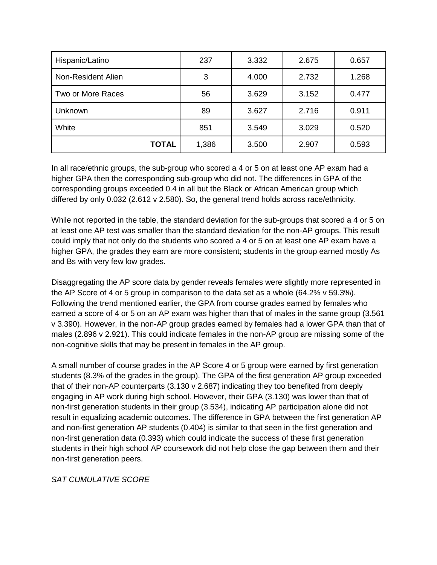| Hispanic/Latino    | 237   | 3.332 | 2.675 | 0.657 |
|--------------------|-------|-------|-------|-------|
| Non-Resident Alien | 3     | 4.000 | 2.732 | 1.268 |
| Two or More Races  | 56    | 3.629 | 3.152 | 0.477 |
| Unknown            | 89    | 3.627 | 2.716 | 0.911 |
| White              | 851   | 3.549 | 3.029 | 0.520 |
| <b>TOTAL</b>       | 1,386 | 3.500 | 2.907 | 0.593 |

In all race/ethnic groups, the sub-group who scored a 4 or 5 on at least one AP exam had a higher GPA then the corresponding sub-group who did not. The differences in GPA of the corresponding groups exceeded 0.4 in all but the Black or African American group which differed by only 0.032 (2.612 v 2.580). So, the general trend holds across race/ethnicity.

While not reported in the table, the standard deviation for the sub-groups that scored a 4 or 5 on at least one AP test was smaller than the standard deviation for the non-AP groups. This result could imply that not only do the students who scored a 4 or 5 on at least one AP exam have a higher GPA, the grades they earn are more consistent; students in the group earned mostly As and Bs with very few low grades.

Disaggregating the AP score data by gender reveals females were slightly more represented in the AP Score of 4 or 5 group in comparison to the data set as a whole (64.2% v 59.3%). Following the trend mentioned earlier, the GPA from course grades earned by females who earned a score of 4 or 5 on an AP exam was higher than that of males in the same group (3.561 v 3.390). However, in the non-AP group grades earned by females had a lower GPA than that of males (2.896 v 2.921). This could indicate females in the non-AP group are missing some of the non-cognitive skills that may be present in females in the AP group.

A small number of course grades in the AP Score 4 or 5 group were earned by first generation students (8.3% of the grades in the group). The GPA of the first generation AP group exceeded that of their non-AP counterparts (3.130 v 2.687) indicating they too benefited from deeply engaging in AP work during high school. However, their GPA (3.130) was lower than that of non-first generation students in their group (3.534), indicating AP participation alone did not result in equalizing academic outcomes. The difference in GPA between the first generation AP and non-first generation AP students (0.404) is similar to that seen in the first generation and non-first generation data (0.393) which could indicate the success of these first generation students in their high school AP coursework did not help close the gap between them and their non-first generation peers.

*SAT CUMULATIVE SCORE*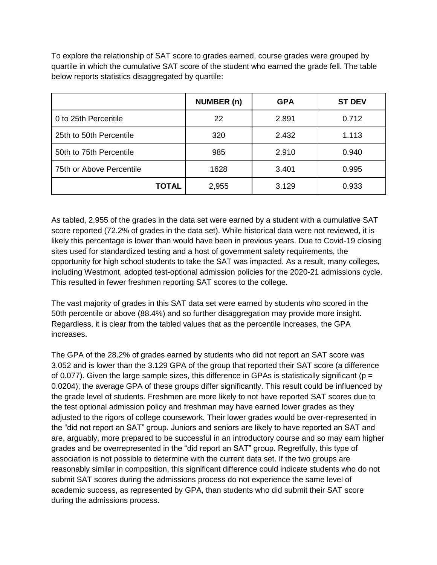To explore the relationship of SAT score to grades earned, course grades were grouped by quartile in which the cumulative SAT score of the student who earned the grade fell. The table below reports statistics disaggregated by quartile:

|                          | <b>NUMBER (n)</b> | <b>GPA</b> | <b>ST DEV</b> |
|--------------------------|-------------------|------------|---------------|
| 0 to 25th Percentile     | 22                | 2.891      | 0.712         |
| 25th to 50th Percentile  | 320               | 2.432      | 1.113         |
| 50th to 75th Percentile  | 985               | 2.910      | 0.940         |
| 75th or Above Percentile | 1628              | 3.401      | 0.995         |
| <b>TOTAL</b>             | 2,955             | 3.129      | 0.933         |

As tabled, 2,955 of the grades in the data set were earned by a student with a cumulative SAT score reported (72.2% of grades in the data set). While historical data were not reviewed, it is likely this percentage is lower than would have been in previous years. Due to Covid-19 closing sites used for standardized testing and a host of government safety requirements, the opportunity for high school students to take the SAT was impacted. As a result, many colleges, including Westmont, adopted test-optional admission policies for the 2020-21 admissions cycle. This resulted in fewer freshmen reporting SAT scores to the college.

The vast majority of grades in this SAT data set were earned by students who scored in the 50th percentile or above (88.4%) and so further disaggregation may provide more insight. Regardless, it is clear from the tabled values that as the percentile increases, the GPA increases.

The GPA of the 28.2% of grades earned by students who did not report an SAT score was 3.052 and is lower than the 3.129 GPA of the group that reported their SAT score (a difference of 0.077). Given the large sample sizes, this difference in GPAs is statistically significant ( $p =$ 0.0204); the average GPA of these groups differ significantly. This result could be influenced by the grade level of students. Freshmen are more likely to not have reported SAT scores due to the test optional admission policy and freshman may have earned lower grades as they adjusted to the rigors of college coursework. Their lower grades would be over-represented in the "did not report an SAT" group. Juniors and seniors are likely to have reported an SAT and are, arguably, more prepared to be successful in an introductory course and so may earn higher grades and be overrepresented in the "did report an SAT" group. Regretfully, this type of association is not possible to determine with the current data set. If the two groups are reasonably similar in composition, this significant difference could indicate students who do not submit SAT scores during the admissions process do not experience the same level of academic success, as represented by GPA, than students who did submit their SAT score during the admissions process.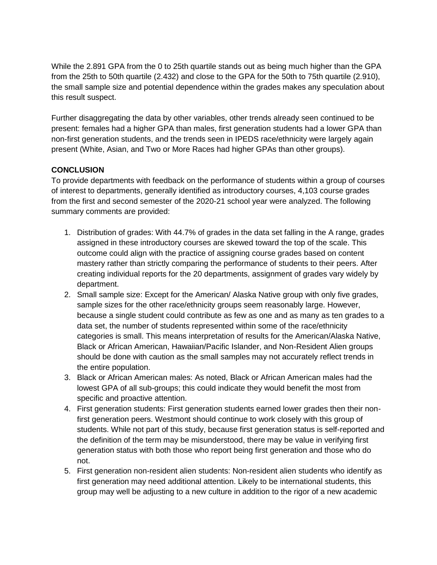While the 2.891 GPA from the 0 to 25th quartile stands out as being much higher than the GPA from the 25th to 50th quartile (2.432) and close to the GPA for the 50th to 75th quartile (2.910), the small sample size and potential dependence within the grades makes any speculation about this result suspect.

Further disaggregating the data by other variables, other trends already seen continued to be present: females had a higher GPA than males, first generation students had a lower GPA than non-first generation students, and the trends seen in IPEDS race/ethnicity were largely again present (White, Asian, and Two or More Races had higher GPAs than other groups).

#### **CONCLUSION**

To provide departments with feedback on the performance of students within a group of courses of interest to departments, generally identified as introductory courses, 4,103 course grades from the first and second semester of the 2020-21 school year were analyzed. The following summary comments are provided:

- 1. Distribution of grades: With 44.7% of grades in the data set falling in the A range, grades assigned in these introductory courses are skewed toward the top of the scale. This outcome could align with the practice of assigning course grades based on content mastery rather than strictly comparing the performance of students to their peers. After creating individual reports for the 20 departments, assignment of grades vary widely by department.
- 2. Small sample size: Except for the American/ Alaska Native group with only five grades, sample sizes for the other race/ethnicity groups seem reasonably large. However, because a single student could contribute as few as one and as many as ten grades to a data set, the number of students represented within some of the race/ethnicity categories is small. This means interpretation of results for the American/Alaska Native, Black or African American, Hawaiian/Pacific Islander, and Non-Resident Alien groups should be done with caution as the small samples may not accurately reflect trends in the entire population.
- 3. Black or African American males: As noted, Black or African American males had the lowest GPA of all sub-groups; this could indicate they would benefit the most from specific and proactive attention.
- 4. First generation students: First generation students earned lower grades then their nonfirst generation peers. Westmont should continue to work closely with this group of students. While not part of this study, because first generation status is self-reported and the definition of the term may be misunderstood, there may be value in verifying first generation status with both those who report being first generation and those who do not.
- 5. First generation non-resident alien students: Non-resident alien students who identify as first generation may need additional attention. Likely to be international students, this group may well be adjusting to a new culture in addition to the rigor of a new academic